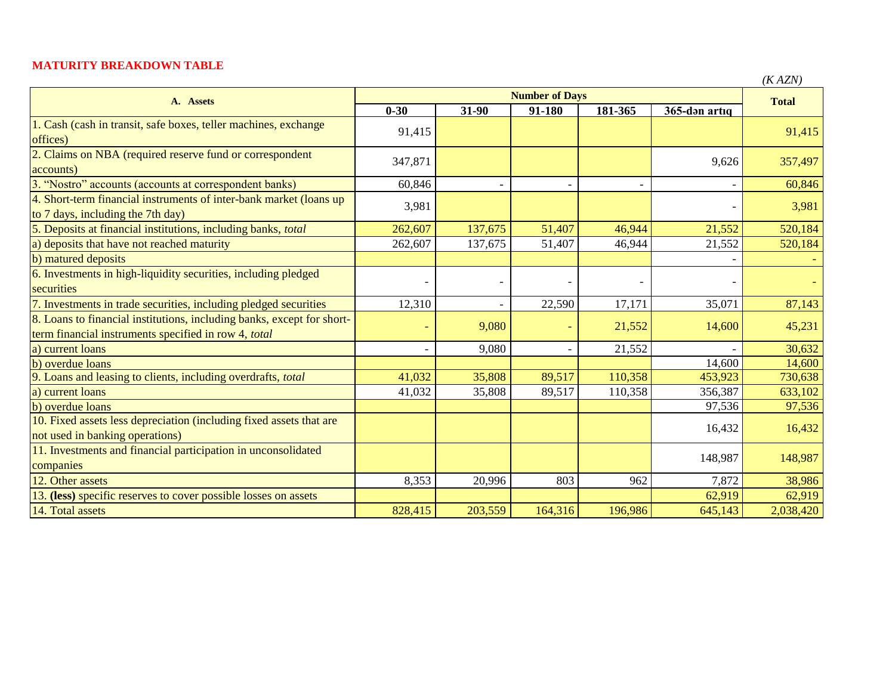## **MATURITY BREAKDOWN TABLE**

|                                                                                                                                | <b>Number of Days</b> |                          |         |         |               | (IVALIV)     |
|--------------------------------------------------------------------------------------------------------------------------------|-----------------------|--------------------------|---------|---------|---------------|--------------|
| A. Assets                                                                                                                      | $0 - 30$              | 31-90                    | 91-180  | 181-365 | 365-dən artıq | <b>Total</b> |
| 1. Cash (cash in transit, safe boxes, teller machines, exchange<br>offices)                                                    | 91,415                |                          |         |         |               | 91,415       |
| 2. Claims on NBA (required reserve fund or correspondent<br>accounts)                                                          | 347,871               |                          |         |         | 9,626         | 357,497      |
| 3. "Nostro" accounts (accounts at correspondent banks)                                                                         | 60,846                |                          |         |         |               | 60,846       |
| 4. Short-term financial instruments of inter-bank market (loans up<br>to 7 days, including the 7th day)                        | 3,981                 |                          |         |         |               | 3,981        |
| 5. Deposits at financial institutions, including banks, total                                                                  | 262,607               | 137,675                  | 51,407  | 46,944  | 21,552        | 520,184      |
| a) deposits that have not reached maturity                                                                                     | 262,607               | 137,675                  | 51,407  | 46,944  | 21,552        | 520,184      |
| b) matured deposits                                                                                                            |                       |                          |         |         |               |              |
| 6. Investments in high-liquidity securities, including pledged<br>securities                                                   |                       | $\overline{\phantom{0}}$ |         |         |               |              |
| 7. Investments in trade securities, including pledged securities                                                               | 12,310                | $\overline{\phantom{a}}$ | 22,590  | 17,171  | 35,071        | 87,143       |
| 8. Loans to financial institutions, including banks, except for short-<br>term financial instruments specified in row 4, total |                       | 9,080                    |         | 21,552  | 14,600        | 45,231       |
| a) current loans                                                                                                               |                       | 9,080                    |         | 21,552  |               | 30,632       |
| b) overdue loans                                                                                                               |                       |                          |         |         | 14,600        | 14,600       |
| 9. Loans and leasing to clients, including overdrafts, total                                                                   | 41,032                | 35,808                   | 89,517  | 110,358 | 453,923       | 730,638      |
| a) current loans                                                                                                               | 41,032                | 35,808                   | 89,517  | 110,358 | 356,387       | 633,102      |
| b) overdue loans                                                                                                               |                       |                          |         |         | 97,536        | 97,536       |
| 10. Fixed assets less depreciation (including fixed assets that are<br>not used in banking operations)                         |                       |                          |         |         | 16,432        | 16,432       |
| 11. Investments and financial participation in unconsolidated<br>companies                                                     |                       |                          |         |         | 148,987       | 148,987      |
| 12. Other assets                                                                                                               | 8,353                 | 20,996                   | 803     | 962     | 7,872         | 38,986       |
| 13. (less) specific reserves to cover possible losses on assets                                                                |                       |                          |         |         | 62,919        | 62,919       |
| 14. Total assets                                                                                                               | 828,415               | 203,559                  | 164,316 | 196,986 | 645,143       | 2,038,420    |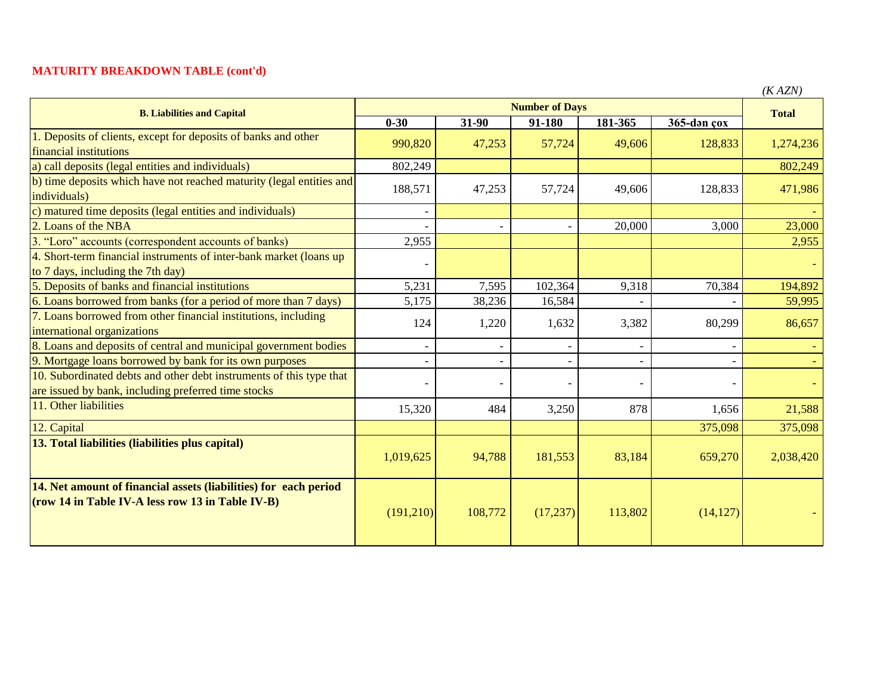## **MATURITY BREAKDOWN TABLE (cont'd)**

| <b>B. Liabilities and Capital</b>                                                                                          | <b>Number of Days</b> |                          |           |         |             | $($ A A $L$ iv $)$<br><b>Total</b> |
|----------------------------------------------------------------------------------------------------------------------------|-----------------------|--------------------------|-----------|---------|-------------|------------------------------------|
|                                                                                                                            | $0 - 30$              | 31-90                    | 91-180    | 181-365 | 365-dən çox |                                    |
| 1. Deposits of clients, except for deposits of banks and other<br>financial institutions                                   | 990,820               | 47,253                   | 57,724    | 49,606  | 128,833     | 1,274,236                          |
| a) call deposits (legal entities and individuals)                                                                          | 802,249               |                          |           |         |             | 802,249                            |
| b) time deposits which have not reached maturity (legal entities and<br>individuals)                                       | 188,571               | 47,253                   | 57,724    | 49,606  | 128,833     | 471,986                            |
| c) matured time deposits (legal entities and individuals)                                                                  |                       |                          |           |         |             |                                    |
| 2. Loans of the NBA                                                                                                        |                       |                          |           | 20,000  | 3,000       | 23,000                             |
| 3. "Loro" accounts (correspondent accounts of banks)                                                                       | 2,955                 |                          |           |         |             | 2,955                              |
| 4. Short-term financial instruments of inter-bank market (loans up<br>to 7 days, including the 7th day)                    |                       |                          |           |         |             |                                    |
| 5. Deposits of banks and financial institutions                                                                            | 5,231                 | 7,595                    | 102,364   | 9,318   | 70,384      | 194,892                            |
| 6. Loans borrowed from banks (for a period of more than 7 days)                                                            | 5,175                 | 38,236                   | 16,584    |         |             | 59,995                             |
| 7. Loans borrowed from other financial institutions, including<br>international organizations                              | 124                   | 1,220                    | 1,632     | 3,382   | 80,299      | 86,657                             |
| 8. Loans and deposits of central and municipal government bodies                                                           |                       | $\overline{\phantom{a}}$ |           |         |             |                                    |
| 9. Mortgage loans borrowed by bank for its own purposes                                                                    |                       |                          |           |         |             |                                    |
| 10. Subordinated debts and other debt instruments of this type that<br>are issued by bank, including preferred time stocks |                       | -                        |           |         |             |                                    |
| 11. Other liabilities                                                                                                      | 15,320                | 484                      | 3,250     | 878     | 1,656       | 21,588                             |
| 12. Capital                                                                                                                |                       |                          |           |         | 375,098     | 375,098                            |
| 13. Total liabilities (liabilities plus capital)                                                                           | 1,019,625             | 94,788                   | 181,553   | 83,184  | 659,270     | 2,038,420                          |
| 14. Net amount of financial assets (liabilities) for each period<br>(row 14 in Table IV-A less row 13 in Table IV-B)       | (191,210)             | 108,772                  | (17, 237) | 113,802 | (14, 127)   |                                    |

*(K AZN)*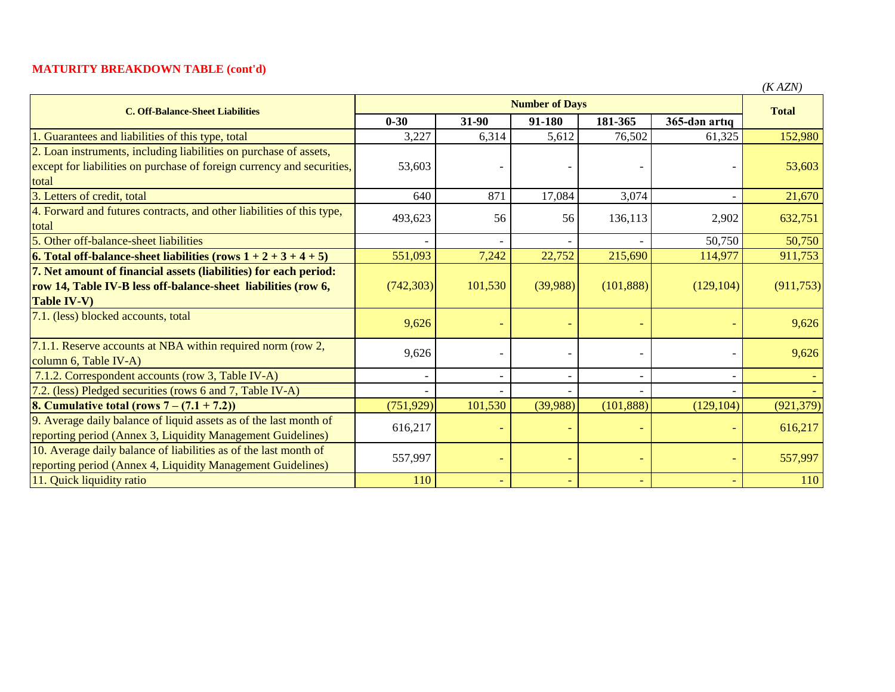## **MATURITY BREAKDOWN TABLE (cont'd)**

| <b>C. Off-Balance-Sheet Liabilities</b>                                   | <b>Number of Days</b> |                          |          |            |               | <b>Total</b> |
|---------------------------------------------------------------------------|-----------------------|--------------------------|----------|------------|---------------|--------------|
|                                                                           | $0 - 30$              | 31-90                    | 91-180   | 181-365    | 365-dən artıq |              |
| Guarantees and liabilities of this type, total                            | 3,227                 | 6,314                    | 5,612    | 76,502     | 61,325        | 152,980      |
| 2. Loan instruments, including liabilities on purchase of assets,         |                       |                          |          |            |               |              |
| except for liabilities on purchase of foreign currency and securities,    | 53,603                |                          |          |            |               | 53,603       |
| total                                                                     |                       |                          |          |            |               |              |
| 3. Letters of credit, total                                               | 640                   | 871                      | 17,084   | 3,074      |               | 21,670       |
| 4. Forward and futures contracts, and other liabilities of this type,     | 493,623               | 56                       | 56       | 136,113    | 2,902         | 632,751      |
| total                                                                     |                       |                          |          |            |               |              |
| 5. Other off-balance-sheet liabilities                                    |                       |                          |          |            | 50,750        | 50,750       |
| <b>6.</b> Total off-balance-sheet liabilities (rows $1 + 2 + 3 + 4 + 5$ ) | 551,093               | 7,242                    | 22,752   | 215,690    | 114,977       | 911,753      |
| 7. Net amount of financial assets (liabilities) for each period:          |                       |                          |          |            |               |              |
| row 14, Table IV-B less off-balance-sheet liabilities (row 6,             | (742, 303)            | 101,530                  | (39,988) | (101, 888) | (129, 104)    | (911, 753)   |
| <b>Table IV-V)</b>                                                        |                       |                          |          |            |               |              |
| 7.1. (less) blocked accounts, total                                       | 9,626                 |                          |          |            |               | 9,626        |
| 7.1.1. Reserve accounts at NBA within required norm (row 2,               |                       |                          |          |            |               |              |
| column 6, Table IV-A)                                                     | 9,626                 |                          |          |            |               | 9,626        |
| 7.1.2. Correspondent accounts (row 3, Table IV-A)                         |                       | $\overline{\phantom{a}}$ |          |            |               |              |
| 7.2. (less) Pledged securities (rows 6 and 7, Table IV-A)                 |                       |                          |          |            |               |              |
| <b>8. Cumulative total (rows 7 – <math>(7.1 + 7.2)</math>)</b>            | (751, 929)            | 101,530                  | (39,988) | (101, 888) | (129, 104)    | (921, 379)   |
| 9. Average daily balance of liquid assets as of the last month of         | 616,217               | $\overline{\phantom{0}}$ |          |            |               | 616,217      |
| reporting period (Annex 3, Liquidity Management Guidelines)               |                       |                          |          |            |               |              |
| 10. Average daily balance of liabilities as of the last month of          | 557,997               |                          |          |            |               | 557,997      |
| reporting period (Annex 4, Liquidity Management Guidelines)               |                       |                          |          |            |               |              |
| 11. Quick liquidity ratio                                                 | 110                   |                          |          |            |               | 110          |